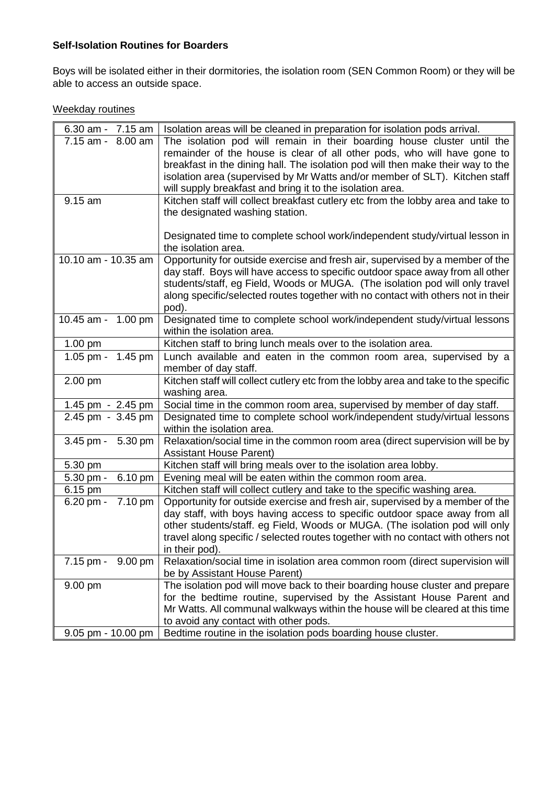## **Self-Isolation Routines for Boarders**

Boys will be isolated either in their dormitories, the isolation room (SEN Common Room) or they will be able to access an outside space.

## Weekday routines

| 6.30 am - $7.15$ am    | Isolation areas will be cleaned in preparation for isolation pods arrival.                              |
|------------------------|---------------------------------------------------------------------------------------------------------|
| 7.15 am - 8.00 am      | The isolation pod will remain in their boarding house cluster until the                                 |
|                        | remainder of the house is clear of all other pods, who will have gone to                                |
|                        | breakfast in the dining hall. The isolation pod will then make their way to the                         |
|                        | isolation area (supervised by Mr Watts and/or member of SLT). Kitchen staff                             |
|                        | will supply breakfast and bring it to the isolation area.                                               |
| 9.15 am                | Kitchen staff will collect breakfast cutlery etc from the lobby area and take to                        |
|                        | the designated washing station.                                                                         |
|                        |                                                                                                         |
|                        | Designated time to complete school work/independent study/virtual lesson in<br>the isolation area.      |
| 10.10 am - 10.35 am    | Opportunity for outside exercise and fresh air, supervised by a member of the                           |
|                        | day staff. Boys will have access to specific outdoor space away from all other                          |
|                        | students/staff, eg Field, Woods or MUGA. (The isolation pod will only travel                            |
|                        | along specific/selected routes together with no contact with others not in their                        |
|                        | pod).                                                                                                   |
| 10.45 am - 1.00 pm     | Designated time to complete school work/independent study/virtual lessons                               |
|                        | within the isolation area.                                                                              |
| 1.00 pm                | Kitchen staff to bring lunch meals over to the isolation area.                                          |
| 1.05 pm - 1.45 pm      | Lunch available and eaten in the common room area, supervised by a                                      |
|                        | member of day staff.                                                                                    |
| 2.00 pm                | Kitchen staff will collect cutlery etc from the lobby area and take to the specific                     |
|                        | washing area.                                                                                           |
| 1.45 pm - 2.45 pm      | Social time in the common room area, supervised by member of day staff.                                 |
| 2.45 pm - 3.45 pm      | Designated time to complete school work/independent study/virtual lessons<br>within the isolation area. |
| $3.45$ pm -<br>5.30 pm | Relaxation/social time in the common room area (direct supervision will be by                           |
|                        | <b>Assistant House Parent)</b>                                                                          |
| 5.30 pm                | Kitchen staff will bring meals over to the isolation area lobby.                                        |
| 5.30 pm -<br>6.10 pm   | Evening meal will be eaten within the common room area.                                                 |
| 6.15 pm                | Kitchen staff will collect cutlery and take to the specific washing area.                               |
| 7.10 pm<br>$6.20$ pm - | Opportunity for outside exercise and fresh air, supervised by a member of the                           |
|                        | day staff, with boys having access to specific outdoor space away from all                              |
|                        | other students/staff. eg Field, Woods or MUGA. (The isolation pod will only                             |
|                        | travel along specific / selected routes together with no contact with others not                        |
|                        | in their pod).                                                                                          |
| 7.15 pm - 9.00 pm      | Relaxation/social time in isolation area common room (direct supervision will                           |
|                        | be by Assistant House Parent)                                                                           |
| 9.00 pm                | The isolation pod will move back to their boarding house cluster and prepare                            |
|                        | for the bedtime routine, supervised by the Assistant House Parent and                                   |
|                        | Mr Watts. All communal walkways within the house will be cleared at this time                           |
|                        | to avoid any contact with other pods.                                                                   |
| 9.05 pm - 10.00 pm     | Bedtime routine in the isolation pods boarding house cluster.                                           |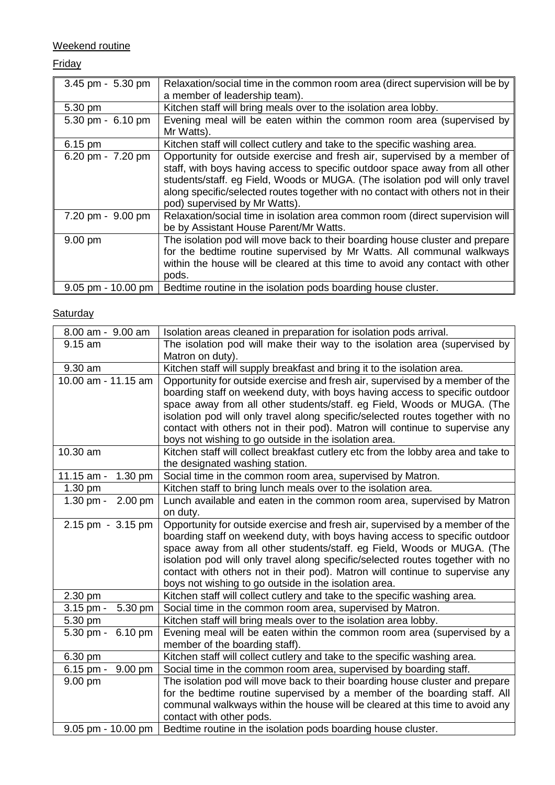Weekend routine

## **Friday**

| 3.45 pm - 5.30 pm    | Relaxation/social time in the common room area (direct supervision will be by    |
|----------------------|----------------------------------------------------------------------------------|
|                      | a member of leadership team).                                                    |
| 5.30 pm              | Kitchen staff will bring meals over to the isolation area lobby.                 |
| 5.30 pm - 6.10 pm    | Evening meal will be eaten within the common room area (supervised by            |
|                      | Mr Watts).                                                                       |
| 6.15 pm              | Kitchen staff will collect cutlery and take to the specific washing area.        |
| 6.20 pm - 7.20 pm    | Opportunity for outside exercise and fresh air, supervised by a member of        |
|                      | staff, with boys having access to specific outdoor space away from all other     |
|                      | students/staff. eg Field, Woods or MUGA. (The isolation pod will only travel     |
|                      | along specific/selected routes together with no contact with others not in their |
|                      | pod) supervised by Mr Watts).                                                    |
| 7.20 pm - 9.00 pm    | Relaxation/social time in isolation area common room (direct supervision will    |
|                      | be by Assistant House Parent/Mr Watts.                                           |
| $9.00 \text{ pm}$    | The isolation pod will move back to their boarding house cluster and prepare     |
|                      | for the bedtime routine supervised by Mr Watts. All communal walkways            |
|                      | within the house will be cleared at this time to avoid any contact with other    |
|                      | pods.                                                                            |
| $9.05$ pm - 10.00 pm | Bedtime routine in the isolation pods boarding house cluster.                    |

## **Saturday**

| 8.00 am - 9.00 am                | Isolation areas cleaned in preparation for isolation pods arrival.               |
|----------------------------------|----------------------------------------------------------------------------------|
| 9.15 am                          | The isolation pod will make their way to the isolation area (supervised by       |
|                                  | Matron on duty).                                                                 |
| 9.30 am                          | Kitchen staff will supply breakfast and bring it to the isolation area.          |
| 10.00 am - 11.15 am              | Opportunity for outside exercise and fresh air, supervised by a member of the    |
|                                  | boarding staff on weekend duty, with boys having access to specific outdoor      |
|                                  | space away from all other students/staff. eg Field, Woods or MUGA. (The          |
|                                  | isolation pod will only travel along specific/selected routes together with no   |
|                                  | contact with others not in their pod). Matron will continue to supervise any     |
|                                  | boys not wishing to go outside in the isolation area.                            |
| 10.30 am                         | Kitchen staff will collect breakfast cutlery etc from the lobby area and take to |
|                                  | the designated washing station.                                                  |
| $11.15$ am -<br>1.30 pm          | Social time in the common room area, supervised by Matron.                       |
| 1.30 pm                          | Kitchen staff to bring lunch meals over to the isolation area.                   |
| $2.00 \text{ pm}$<br>$1.30$ pm - | Lunch available and eaten in the common room area, supervised by Matron          |
|                                  | on duty.                                                                         |
| 2.15 pm - 3.15 pm                | Opportunity for outside exercise and fresh air, supervised by a member of the    |
|                                  | boarding staff on weekend duty, with boys having access to specific outdoor      |
|                                  | space away from all other students/staff. eg Field, Woods or MUGA. (The          |
|                                  | isolation pod will only travel along specific/selected routes together with no   |
|                                  | contact with others not in their pod). Matron will continue to supervise any     |
|                                  | boys not wishing to go outside in the isolation area.                            |
| 2.30 pm                          | Kitchen staff will collect cutlery and take to the specific washing area.        |
| 5.30 pm<br>$3.15$ pm -           | Social time in the common room area, supervised by Matron.                       |
| 5.30 pm                          | Kitchen staff will bring meals over to the isolation area lobby.                 |
| 5.30 pm - 6.10 pm                | Evening meal will be eaten within the common room area (supervised by a          |
|                                  | member of the boarding staff).                                                   |
| 6.30 pm                          | Kitchen staff will collect cutlery and take to the specific washing area.        |
| 6.15 pm -<br>$9.00 \text{ pm}$   | Social time in the common room area, supervised by boarding staff.               |
| 9.00 pm                          | The isolation pod will move back to their boarding house cluster and prepare     |
|                                  | for the bedtime routine supervised by a member of the boarding staff. All        |
|                                  | communal walkways within the house will be cleared at this time to avoid any     |
|                                  | contact with other pods.                                                         |
| $9.05$ pm - 10.00 pm             | Bedtime routine in the isolation pods boarding house cluster.                    |